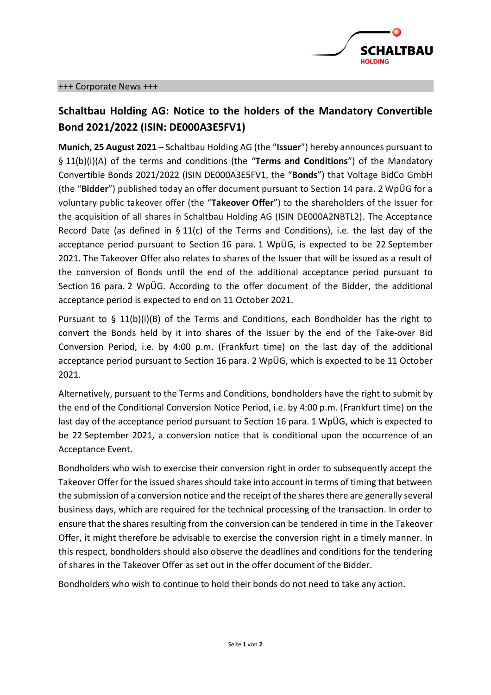

# **Schaltbau Holding AG: Notice to the holders of the Mandatory Convertible Bond 2021/2022 (ISIN: DE000A3E5FV1)**

**Munich, 25 August 2021** – Schaltbau Holding AG (the "**Issuer**") hereby announces pursuant to § 11(b)(i)(A) of the terms and conditions (the "**Terms and Conditions**") of the Mandatory Convertible Bonds 2021/2022 (ISIN DE000A3E5FV1, the "**Bonds**") that Voltage BidCo GmbH (the "**Bidder**") published today an offer document pursuant to Section 14 para. 2 WpÜG for a voluntary public takeover offer (the "**Takeover Offer**") to the shareholders of the Issuer for the acquisition of all shares in Schaltbau Holding AG (ISIN DE000A2NBTL2). The Acceptance Record Date (as defined in § 11(c) of the Terms and Conditions), i.e. the last day of the acceptance period pursuant to Section 16 para. 1 WpÜG, is expected to be 22 September 2021. The Takeover Offer also relates to shares of the Issuer that will be issued as a result of the conversion of Bonds until the end of the additional acceptance period pursuant to Section 16 para. 2 WpÜG. According to the offer document of the Bidder, the additional acceptance period is expected to end on 11 October 2021.

Pursuant to  $\S$  11(b)(i)(B) of the Terms and Conditions, each Bondholder has the right to convert the Bonds held by it into shares of the Issuer by the end of the Take-over Bid Conversion Period, i.e. by 4:00 p.m. (Frankfurt time) on the last day of the additional acceptance period pursuant to Section 16 para. 2 WpÜG, which is expected to be 11 October 2021.

Alternatively, pursuant to the Terms and Conditions, bondholders have the right to submit by the end of the Conditional Conversion Notice Period, i.e. by 4:00 p.m. (Frankfurt time) on the last day of the acceptance period pursuant to Section 16 para. 1 WpÜG, which is expected to be 22 September 2021, a conversion notice that is conditional upon the occurrence of an Acceptance Event.

Bondholders who wish to exercise their conversion right in order to subsequently accept the Takeover Offer for the issued shares should take into account in terms of timing that between the submission of a conversion notice and the receipt of the shares there are generally several business days, which are required for the technical processing of the transaction. In order to ensure that the shares resulting from the conversion can be tendered in time in the Takeover Offer, it might therefore be advisable to exercise the conversion right in a timely manner. In this respect, bondholders should also observe the deadlines and conditions for the tendering of shares in the Takeover Offer as set out in the offer document of the Bidder.

Bondholders who wish to continue to hold their bonds do not need to take any action.